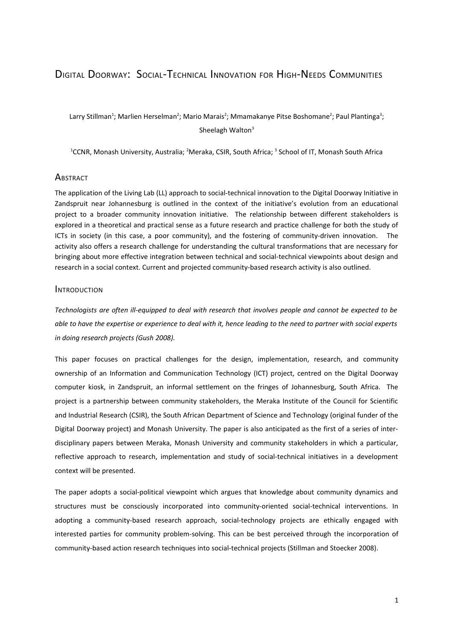# DIGITAL DOORWAY: SOCIAL-TECHNICAL INNOVATION FOR HIGH-NEEDS COMMUNITIES

Larry Stillman<sup>1</sup>; Marlien Herselman<sup>2</sup>; Mario Marais<sup>2</sup>; Mmamakanye Pitse Boshomane<sup>2</sup>; Paul Plantinga<sup>3</sup>; Sheelagh Walton $3$ 

<sup>1</sup>CCNR, Monash University, Australia; <sup>2</sup>Meraka, CSIR, South Africa; <sup>3</sup> School of IT, Monash South Africa

#### **ABSTRACT**

The application of the Living Lab (LL) approach to social-technical innovation to the Digital Doorway Initiative in Zandspruit near Johannesburg is outlined in the context of the initiative's evolution from an educational project to a broader community innovation initiative. The relationship between different stakeholders is explored in a theoretical and practical sense as a future research and practice challenge for both the study of ICTs in society (in this case, a poor community), and the fostering of community-driven innovation. The activity also offers a research challenge for understanding the cultural transformations that are necessary for bringing about more effective integration between technical and social-technical viewpoints about design and research in a social context. Current and projected community-based research activity is also outlined.

#### **INTRODUCTION**

*Technologists are often ill-equipped to deal with research that involves people and cannot be expected to be able to have the expertise or experience to deal with it, hence leading to the need to partner with social experts in doing research projects (Gush 2008).*

This paper focuses on practical challenges for the design, implementation, research, and community ownership of an Information and Communication Technology (ICT) project, centred on the Digital Doorway computer kiosk, in Zandspruit, an informal settlement on the fringes of Johannesburg, South Africa. The project is a partnership between community stakeholders, the Meraka Institute of the Council for Scientific and Industrial Research (CSIR), the South African Department of Science and Technology (original funder of the Digital Doorway project) and Monash University. The paper is also anticipated as the first of a series of interdisciplinary papers between Meraka, Monash University and community stakeholders in which a particular, reflective approach to research, implementation and study of social-technical initiatives in a development context will be presented.

The paper adopts a social-political viewpoint which argues that knowledge about community dynamics and structures must be consciously incorporated into community-oriented social-technical interventions. In adopting a community-based research approach, social-technology projects are ethically engaged with interested parties for community problem-solving. This can be best perceived through the incorporation of community-based action research techniques into social-technical projects (Stillman and Stoecker 2008).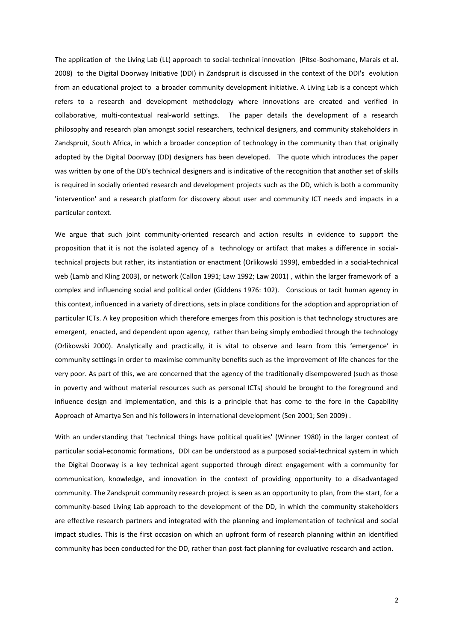The application of the Living Lab (LL) approach to social-technical innovation (Pitse-Boshomane, Marais et al. 2008) to the Digital Doorway Initiative (DDI) in Zandspruit is discussed in the context of the DDI's evolution from an educational project to a broader community development initiative. A Living Lab is a concept which refers to a research and development methodology where innovations are created and verified in collaborative, multi-contextual real-world settings. The paper details the development of a research philosophy and research plan amongst social researchers, technical designers, and community stakeholders in Zandspruit, South Africa, in which a broader conception of technology in the community than that originally adopted by the Digital Doorway (DD) designers has been developed. The quote which introduces the paper was written by one of the DD's technical designers and is indicative of the recognition that another set of skills is required in socially oriented research and development projects such as the DD, which is both a community 'intervention' and a research platform for discovery about user and community ICT needs and impacts in a particular context.

We argue that such joint community-oriented research and action results in evidence to support the proposition that it is not the isolated agency of a technology or artifact that makes a difference in socialtechnical projects but rather, its instantiation or enactment (Orlikowski 1999), embedded in a social-technical web (Lamb and Kling 2003), or network (Callon 1991; Law 1992; Law 2001) , within the larger framework of a complex and influencing social and political order (Giddens 1976: 102). Conscious or tacit human agency in this context, influenced in a variety of directions, sets in place conditions for the adoption and appropriation of particular ICTs. A key proposition which therefore emerges from this position is that technology structures are emergent, enacted, and dependent upon agency, rather than being simply embodied through the technology (Orlikowski 2000). Analytically and practically, it is vital to observe and learn from this 'emergence' in community settings in order to maximise community benefits such as the improvement of life chances for the very poor. As part of this, we are concerned that the agency of the traditionally disempowered (such as those in poverty and without material resources such as personal ICTs) should be brought to the foreground and influence design and implementation, and this is a principle that has come to the fore in the Capability Approach of Amartya Sen and his followers in international development (Sen 2001; Sen 2009).

With an understanding that 'technical things have political qualities' (Winner 1980) in the larger context of particular social-economic formations, DDI can be understood as a purposed social-technical system in which the Digital Doorway is a key technical agent supported through direct engagement with a community for communication, knowledge, and innovation in the context of providing opportunity to a disadvantaged community. The Zandspruit community research project is seen as an opportunity to plan, from the start, for a community-based Living Lab approach to the development of the DD, in which the community stakeholders are effective research partners and integrated with the planning and implementation of technical and social impact studies. This is the first occasion on which an upfront form of research planning within an identified community has been conducted for the DD, rather than post-fact planning for evaluative research and action.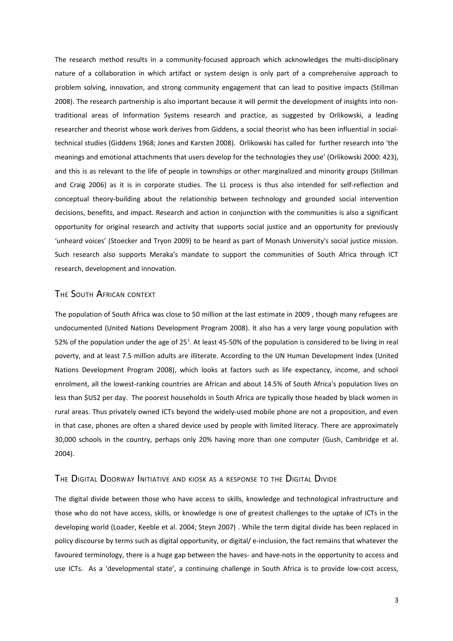The research method results in a community-focused approach which acknowledges the multi-disciplinary nature of a collaboration in which artifact or system design is only part of a comprehensive approach to problem solving, innovation, and strong community engagement that can lead to positive impacts (Stillman 2008). The research partnership is also important because it will permit the development of insights into nontraditional areas of Information Systems research and practice, as suggested by Orlikowski, a leading researcher and theorist whose work derives from Giddens, a social theorist who has been influential in socialtechnical studies (Giddens 1968; Jones and Karsten 2008). Orlikowski has called for further research into 'the meanings and emotional attachments that users develop for the technologies they use' (Orlikowski 2000: 423), and this is as relevant to the life of people in townships or other marginalized and minority groups (Stillman and Craig 2006) as it is in corporate studies. The LL process is thus also intended for self-reflection and conceptual theory-building about the relationship between technology and grounded social intervention decisions, benefits, and impact. Research and action in conjunction with the communities is also a significant opportunity for original research and activity that supports social justice and an opportunity for previously 'unheard voices' (Stoecker and Tryon 2009) to be heard as part of Monash University's social justice mission. Such research also supports Meraka's mandate to support the communities of South Africa through ICT research, development and innovation.

### THE SOUTH AFRICAN CONTEXT

The population of South Africa was close to 50 million at the last estimate in 2009 , though many refugees are undocumented (United Nations Development Program 2008). It also has a very large young population with 52% of the population under the age of 25<sup>[1](#page-19-0)</sup>. At least 45-50% of the population is considered to be living in real poverty, and at least 7.5 million adults are illiterate. According to the UN Human Development Index (United Nations Development Program 2008), which looks at factors such as life expectancy, income, and school enrolment, all the lowest-ranking countries are African and about 14.5% of South Africa's population lives on less than \$US2 per day. The poorest households in South Africa are typically those headed by black women in rural areas. Thus privately owned ICTs beyond the widely-used mobile phone are not a proposition, and even in that case, phones are often a shared device used by people with limited literacy. There are approximately 30,000 schools in the country, perhaps only 20% having more than one computer (Gush, Cambridge et al. 2004).

#### THE DIGITAL DOORWAY INITIATIVE AND KIOSK AS A RESPONSE TO THE DIGITAL DIVIDE

The digital divide between those who have access to skills, knowledge and technological infrastructure and those who do not have access, skills, or knowledge is one of greatest challenges to the uptake of ICTs in the developing world (Loader, Keeble et al. 2004; Steyn 2007) . While the term digital divide has been replaced in policy discourse by terms such as digital opportunity, or digital/ e-inclusion, the fact remains that whatever the favoured terminology, there is a huge gap between the haves- and have-nots in the opportunity to access and use ICTs. As a 'developmental state', a continuing challenge in South Africa is to provide low-cost access,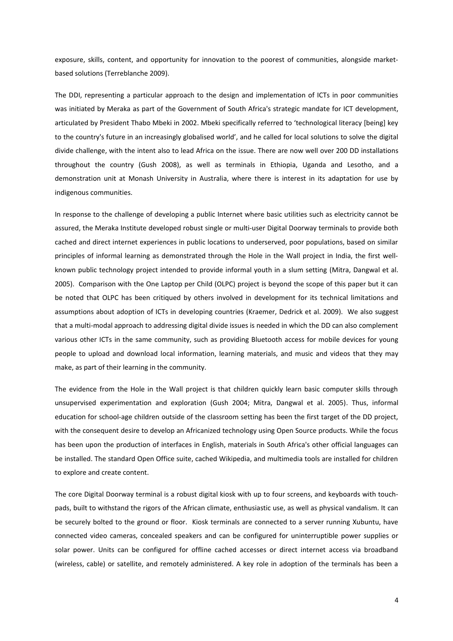exposure, skills, content, and opportunity for innovation to the poorest of communities, alongside marketbased solutions (Terreblanche 2009).

The DDI, representing a particular approach to the design and implementation of ICTs in poor communities was initiated by Meraka as part of the Government of South Africa's strategic mandate for ICT development, articulated by President Thabo Mbeki in 2002. Mbeki specifically referred to 'technological literacy [being] key to the country's future in an increasingly globalised world', and he called for local solutions to solve the digital divide challenge, with the intent also to lead Africa on the issue. There are now well over 200 DD installations throughout the country (Gush 2008), as well as terminals in Ethiopia, Uganda and Lesotho, and a demonstration unit at Monash University in Australia, where there is interest in its adaptation for use by indigenous communities.

In response to the challenge of developing a public Internet where basic utilities such as electricity cannot be assured, the Meraka Institute developed robust single or multi-user Digital Doorway terminals to provide both cached and direct internet experiences in public locations to underserved, poor populations, based on similar principles of informal learning as demonstrated through the Hole in the Wall project in India, the first wellknown public technology project intended to provide informal youth in a slum setting (Mitra, Dangwal et al. 2005). Comparison with the One Laptop per Child (OLPC) project is beyond the scope of this paper but it can be noted that OLPC has been critiqued by others involved in development for its technical limitations and assumptions about adoption of ICTs in developing countries (Kraemer, Dedrick et al. 2009). We also suggest that a multi-modal approach to addressing digital divide issues is needed in which the DD can also complement various other ICTs in the same community, such as providing Bluetooth access for mobile devices for young people to upload and download local information, learning materials, and music and videos that they may make, as part of their learning in the community.

The evidence from the Hole in the Wall project is that children quickly learn basic computer skills through unsupervised experimentation and exploration (Gush 2004; Mitra, Dangwal et al. 2005). Thus, informal education for school-age children outside of the classroom setting has been the first target of the DD project, with the consequent desire to develop an Africanized technology using Open Source products. While the focus has been upon the production of interfaces in English, materials in South Africa's other official languages can be installed. The standard Open Office suite, cached Wikipedia, and multimedia tools are installed for children to explore and create content.

The core Digital Doorway terminal is a robust digital kiosk with up to four screens, and keyboards with touchpads, built to withstand the rigors of the African climate, enthusiastic use, as well as physical vandalism. It can be securely bolted to the ground or floor. Kiosk terminals are connected to a server running Xubuntu, have connected video cameras, concealed speakers and can be configured for uninterruptible power supplies or solar power. Units can be configured for offline cached accesses or direct internet access via broadband (wireless, cable) or satellite, and remotely administered. A key role in adoption of the terminals has been a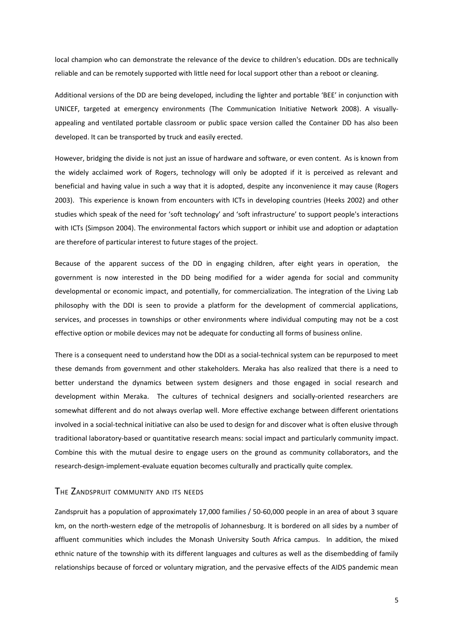local champion who can demonstrate the relevance of the device to children's education. DDs are technically reliable and can be remotely supported with little need for local support other than a reboot or cleaning.

Additional versions of the DD are being developed, including the lighter and portable 'BEE' in conjunction with UNICEF, targeted at emergency environments (The Communication Initiative Network 2008). A visuallyappealing and ventilated portable classroom or public space version called the Container DD has also been developed. It can be transported by truck and easily erected.

However, bridging the divide is not just an issue of hardware and software, or even content. As is known from the widely acclaimed work of Rogers, technology will only be adopted if it is perceived as relevant and beneficial and having value in such a way that it is adopted, despite any inconvenience it may cause (Rogers 2003). This experience is known from encounters with ICTs in developing countries (Heeks 2002) and other studies which speak of the need for 'soft technology' and 'soft infrastructure' to support people's interactions with ICTs (Simpson 2004). The environmental factors which support or inhibit use and adoption or adaptation are therefore of particular interest to future stages of the project.

Because of the apparent success of the DD in engaging children, after eight years in operation, the government is now interested in the DD being modified for a wider agenda for social and community developmental or economic impact, and potentially, for commercialization. The integration of the Living Lab philosophy with the DDI is seen to provide a platform for the development of commercial applications, services, and processes in townships or other environments where individual computing may not be a cost effective option or mobile devices may not be adequate for conducting all forms of business online.

There is a consequent need to understand how the DDI as a social-technical system can be repurposed to meet these demands from government and other stakeholders. Meraka has also realized that there is a need to better understand the dynamics between system designers and those engaged in social research and development within Meraka. The cultures of technical designers and socially-oriented researchers are somewhat different and do not always overlap well. More effective exchange between different orientations involved in a social-technical initiative can also be used to design for and discover what is often elusive through traditional laboratory-based or quantitative research means: social impact and particularly community impact. Combine this with the mutual desire to engage users on the ground as community collaborators, and the research-design-implement-evaluate equation becomes culturally and practically quite complex.

#### THE ZANDSPRUIT COMMUNITY AND ITS NEEDS

Zandspruit has a population of approximately 17,000 families / 50-60,000 people in an area of about 3 square km, on the north-western edge of the metropolis of Johannesburg. It is bordered on all sides by a number of affluent communities which includes the Monash University South Africa campus. In addition, the mixed ethnic nature of the township with its different languages and cultures as well as the disembedding of family relationships because of forced or voluntary migration, and the pervasive effects of the AIDS pandemic mean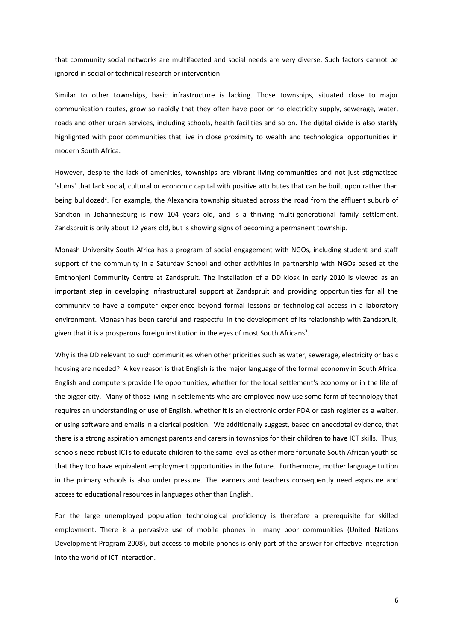that community social networks are multifaceted and social needs are very diverse. Such factors cannot be ignored in social or technical research or intervention.

Similar to other townships, basic infrastructure is lacking. Those townships, situated close to major communication routes, grow so rapidly that they often have poor or no electricity supply, sewerage, water, roads and other urban services, including schools, health facilities and so on. The digital divide is also starkly highlighted with poor communities that live in close proximity to wealth and technological opportunities in modern South Africa.

However, despite the lack of amenities, townships are vibrant living communities and not just stigmatized 'slums' that lack social, cultural or economic capital with positive attributes that can be built upon rather than being bulldozed<sup>[2](#page-19-1)</sup>. For example, the Alexandra township situated across the road from the affluent suburb of Sandton in Johannesburg is now 104 years old, and is a thriving multi-generational family settlement. Zandspruit is only about 12 years old, but is showing signs of becoming a permanent township.

Monash University South Africa has a program of social engagement with NGOs, including student and staff support of the community in a Saturday School and other activities in partnership with NGOs based at the Emthonjeni Community Centre at Zandspruit. The installation of a DD kiosk in early 2010 is viewed as an important step in developing infrastructural support at Zandspruit and providing opportunities for all the community to have a computer experience beyond formal lessons or technological access in a laboratory environment. Monash has been careful and respectful in the development of its relationship with Zandspruit, given that it is a prosperous foreign institution in the eyes of most South Africans<sup>[3](#page-19-2)</sup>.

Why is the DD relevant to such communities when other priorities such as water, sewerage, electricity or basic housing are needed? A key reason is that English is the major language of the formal economy in South Africa. English and computers provide life opportunities, whether for the local settlement's economy or in the life of the bigger city. Many of those living in settlements who are employed now use some form of technology that requires an understanding or use of English, whether it is an electronic order PDA or cash register as a waiter, or using software and emails in a clerical position. We additionally suggest, based on anecdotal evidence, that there is a strong aspiration amongst parents and carers in townships for their children to have ICT skills. Thus, schools need robust ICTs to educate children to the same level as other more fortunate South African youth so that they too have equivalent employment opportunities in the future. Furthermore, mother language tuition in the primary schools is also under pressure. The learners and teachers consequently need exposure and access to educational resources in languages other than English.

For the large unemployed population technological proficiency is therefore a prerequisite for skilled employment. There is a pervasive use of mobile phones in many poor communities (United Nations Development Program 2008), but access to mobile phones is only part of the answer for effective integration into the world of ICT interaction.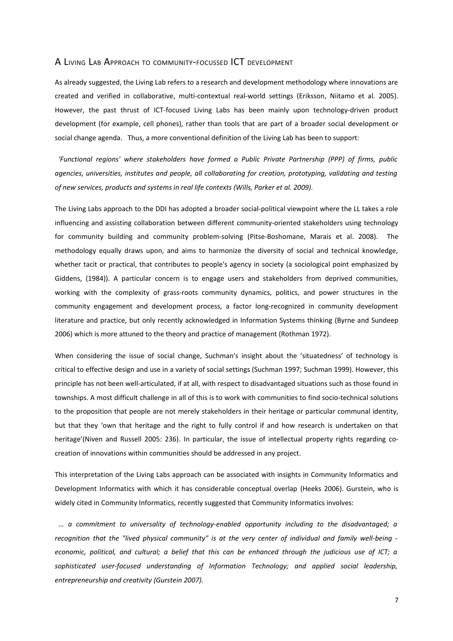#### A LIVING LAB APPROACH TO COMMUNITY-FOCUSSED ICT DEVELOPMENT

As already suggested, the Living Lab refers to a research and development methodology where innovations are created and verified in collaborative, multi-contextual real-world settings (Eriksson, Niitamo et al. 2005). However, the past thrust of ICT-focused Living Labs has been mainly upon technology-driven product development (for example, cell phones), rather than tools that are part of a broader social development or social change agenda. Thus, a more conventional definition of the Living Lab has been to support:

 *'Functional regions' where stakeholders have formed a Public Private Partnership (PPP) of firms, public agencies, universities, institutes and people, all collaborating for creation, prototyping, validating and testing of new services, products and systems in real life contexts (Wills, Parker et al. 2009).*

The Living Labs approach to the DDI has adopted a broader social-political viewpoint where the LL takes a role influencing and assisting collaboration between different community-oriented stakeholders using technology for community building and community problem-solving (Pitse-Boshomane, Marais et al. 2008). The methodology equally draws upon, and aims to harmonize the diversity of social and technical knowledge, whether tacit or practical, that contributes to people's agency in society (a sociological point emphasized by Giddens, (1984)). A particular concern is to engage users and stakeholders from deprived communities, working with the complexity of grass-roots community dynamics, politics, and power structures in the community engagement and development process, a factor long-recognized in community development literature and practice, but only recently acknowledged in Information Systems thinking (Byrne and Sundeep 2006) which is more attuned to the theory and practice of management (Rothman 1972).

When considering the issue of social change, Suchman's insight about the 'situatedness' of technology is critical to effective design and use in a variety of social settings (Suchman 1997; Suchman 1999). However, this principle has not been well-articulated, if at all, with respect to disadvantaged situations such as those found in townships. A most difficult challenge in all of this is to work with communities to find socio-technical solutions to the proposition that people are not merely stakeholders in their heritage or particular communal identity, but that they 'own that heritage and the right to fully control if and how research is undertaken on that heritage'(Niven and Russell 2005: 236). In particular, the issue of intellectual property rights regarding cocreation of innovations within communities should be addressed in any project.

This interpretation of the Living Labs approach can be associated with insights in Community Informatics and Development Informatics with which it has considerable conceptual overlap (Heeks 2006). Gurstein, who is widely cited in Community Informatics, recently suggested that Community Informatics involves:

 *… a commitment to universality of technology-enabled opportunity including to the disadvantaged; a recognition that the "lived physical community" is at the very center of individual and family well-being economic, political, and cultural; a belief that this can be enhanced through the judicious use of ICT; a sophisticated user-focused understanding of Information Technology; and applied social leadership, entrepreneurship and creativity (Gurstein 2007).*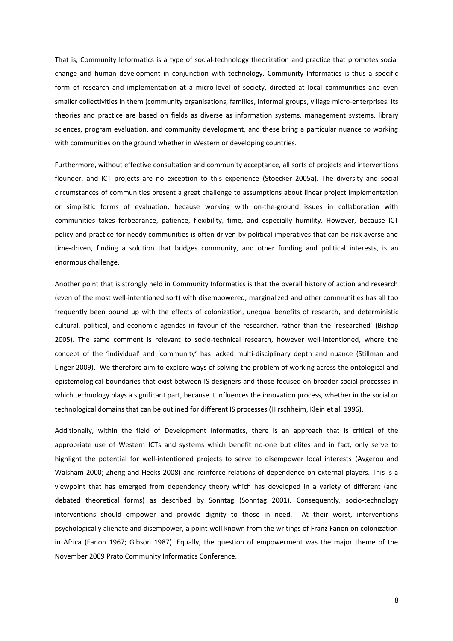That is, Community Informatics is a type of social-technology theorization and practice that promotes social change and human development in conjunction with technology. Community Informatics is thus a specific form of research and implementation at a micro-level of society, directed at local communities and even smaller collectivities in them (community organisations, families, informal groups, village micro-enterprises. Its theories and practice are based on fields as diverse as information systems, management systems, library sciences, program evaluation, and community development, and these bring a particular nuance to working with communities on the ground whether in Western or developing countries.

Furthermore, without effective consultation and community acceptance, all sorts of projects and interventions flounder, and ICT projects are no exception to this experience (Stoecker 2005a). The diversity and social circumstances of communities present a great challenge to assumptions about linear project implementation or simplistic forms of evaluation, because working with on-the-ground issues in collaboration with communities takes forbearance, patience, flexibility, time, and especially humility. However, because ICT policy and practice for needy communities is often driven by political imperatives that can be risk averse and time-driven, finding a solution that bridges community, and other funding and political interests, is an enormous challenge.

Another point that is strongly held in Community Informatics is that the overall history of action and research (even of the most well-intentioned sort) with disempowered, marginalized and other communities has all too frequently been bound up with the effects of colonization, unequal benefits of research, and deterministic cultural, political, and economic agendas in favour of the researcher, rather than the 'researched' (Bishop 2005). The same comment is relevant to socio-technical research, however well-intentioned, where the concept of the 'individual' and 'community' has lacked multi-disciplinary depth and nuance (Stillman and Linger 2009). We therefore aim to explore ways of solving the problem of working across the ontological and epistemological boundaries that exist between IS designers and those focused on broader social processes in which technology plays a significant part, because it influences the innovation process, whether in the social or technological domains that can be outlined for different IS processes (Hirschheim, Klein et al. 1996).

Additionally, within the field of Development Informatics, there is an approach that is critical of the appropriate use of Western ICTs and systems which benefit no-one but elites and in fact, only serve to highlight the potential for well-intentioned projects to serve to disempower local interests (Avgerou and Walsham 2000; Zheng and Heeks 2008) and reinforce relations of dependence on external players. This is a viewpoint that has emerged from dependency theory which has developed in a variety of different (and debated theoretical forms) as described by Sonntag (Sonntag 2001). Consequently, socio-technology interventions should empower and provide dignity to those in need. At their worst, interventions psychologically alienate and disempower, a point well known from the writings of Franz Fanon on colonization in Africa (Fanon 1967; Gibson 1987). Equally, the question of empowerment was the major theme of the November 2009 Prato Community Informatics Conference.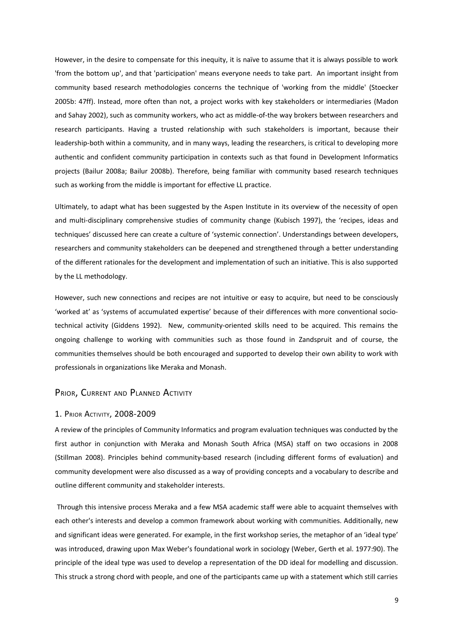However, in the desire to compensate for this inequity, it is naïve to assume that it is always possible to work 'from the bottom up', and that 'participation' means everyone needs to take part. An important insight from community based research methodologies concerns the technique of 'working from the middle' (Stoecker 2005b: 47ff). Instead, more often than not, a project works with key stakeholders or intermediaries (Madon and Sahay 2002), such as community workers, who act as middle-of-the way brokers between researchers and research participants. Having a trusted relationship with such stakeholders is important, because their leadership-both within a community, and in many ways, leading the researchers, is critical to developing more authentic and confident community participation in contexts such as that found in Development Informatics projects (Bailur 2008a; Bailur 2008b). Therefore, being familiar with community based research techniques such as working from the middle is important for effective LL practice.

Ultimately, to adapt what has been suggested by the Aspen Institute in its overview of the necessity of open and multi-disciplinary comprehensive studies of community change (Kubisch 1997), the 'recipes, ideas and techniques' discussed here can create a culture of 'systemic connection'. Understandings between developers, researchers and community stakeholders can be deepened and strengthened through a better understanding of the different rationales for the development and implementation of such an initiative. This is also supported by the LL methodology.

However, such new connections and recipes are not intuitive or easy to acquire, but need to be consciously 'worked at' as 'systems of accumulated expertise' because of their differences with more conventional sociotechnical activity (Giddens 1992). New, community-oriented skills need to be acquired. This remains the ongoing challenge to working with communities such as those found in Zandspruit and of course, the communities themselves should be both encouraged and supported to develop their own ability to work with professionals in organizations like Meraka and Monash.

#### PRIOR, CURRENT AND PLANNED ACTIVITY

#### 1. PRIOR ACTIVITY, 2008-2009

A review of the principles of Community Informatics and program evaluation techniques was conducted by the first author in conjunction with Meraka and Monash South Africa (MSA) staff on two occasions in 2008 (Stillman 2008). Principles behind community-based research (including different forms of evaluation) and community development were also discussed as a way of providing concepts and a vocabulary to describe and outline different community and stakeholder interests.

 Through this intensive process Meraka and a few MSA academic staff were able to acquaint themselves with each other's interests and develop a common framework about working with communities. Additionally, new and significant ideas were generated. For example, in the first workshop series, the metaphor of an 'ideal type' was introduced, drawing upon Max Weber's foundational work in sociology (Weber, Gerth et al. 1977:90). The principle of the ideal type was used to develop a representation of the DD ideal for modelling and discussion. This struck a strong chord with people, and one of the participants came up with a statement which still carries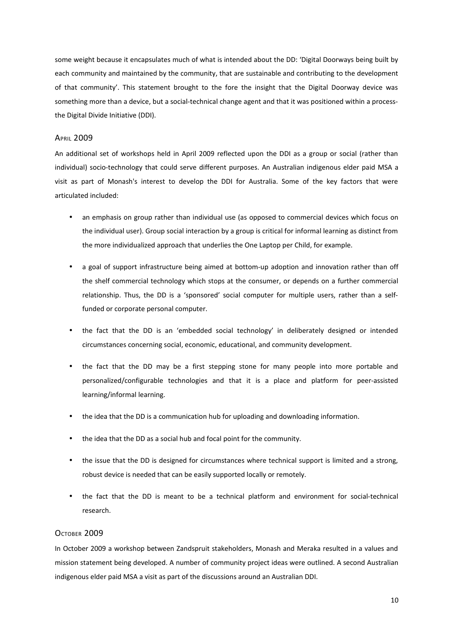some weight because it encapsulates much of what is intended about the DD: 'Digital Doorways being built by each community and maintained by the community, that are sustainable and contributing to the development of that community'. This statement brought to the fore the insight that the Digital Doorway device was something more than a device, but a social-technical change agent and that it was positioned within a processthe Digital Divide Initiative (DDI).

#### **APRIL 2009**

An additional set of workshops held in April 2009 reflected upon the DDI as a group or social (rather than individual) socio-technology that could serve different purposes. An Australian indigenous elder paid MSA a visit as part of Monash's interest to develop the DDI for Australia. Some of the key factors that were articulated included:

- an emphasis on group rather than individual use (as opposed to commercial devices which focus on the individual user). Group social interaction by a group is critical for informal learning as distinct from the more individualized approach that underlies the One Laptop per Child, for example.
- a goal of support infrastructure being aimed at bottom-up adoption and innovation rather than off the shelf commercial technology which stops at the consumer, or depends on a further commercial relationship. Thus, the DD is a 'sponsored' social computer for multiple users, rather than a selffunded or corporate personal computer.
- the fact that the DD is an 'embedded social technology' in deliberately designed or intended circumstances concerning social, economic, educational, and community development.
- the fact that the DD may be a first stepping stone for many people into more portable and personalized/configurable technologies and that it is a place and platform for peer-assisted learning/informal learning.
- the idea that the DD is a communication hub for uploading and downloading information.
- the idea that the DD as a social hub and focal point for the community.
- the issue that the DD is designed for circumstances where technical support is limited and a strong, robust device is needed that can be easily supported locally or remotely.
- the fact that the DD is meant to be a technical platform and environment for social-technical research.

#### OCTOBER 2009

In October 2009 a workshop between Zandspruit stakeholders, Monash and Meraka resulted in a values and mission statement being developed. A number of community project ideas were outlined. A second Australian indigenous elder paid MSA a visit as part of the discussions around an Australian DDI.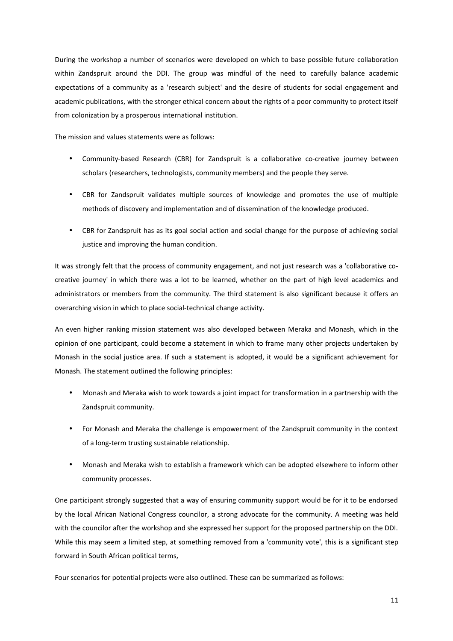During the workshop a number of scenarios were developed on which to base possible future collaboration within Zandspruit around the DDI. The group was mindful of the need to carefully balance academic expectations of a community as a 'research subject' and the desire of students for social engagement and academic publications, with the stronger ethical concern about the rights of a poor community to protect itself from colonization by a prosperous international institution.

The mission and values statements were as follows:

- Community-based Research (CBR) for Zandspruit is a collaborative co-creative journey between scholars (researchers, technologists, community members) and the people they serve.
- CBR for Zandspruit validates multiple sources of knowledge and promotes the use of multiple methods of discovery and implementation and of dissemination of the knowledge produced.
- CBR for Zandspruit has as its goal social action and social change for the purpose of achieving social justice and improving the human condition.

It was strongly felt that the process of community engagement, and not just research was a 'collaborative cocreative journey' in which there was a lot to be learned, whether on the part of high level academics and administrators or members from the community. The third statement is also significant because it offers an overarching vision in which to place social-technical change activity.

An even higher ranking mission statement was also developed between Meraka and Monash, which in the opinion of one participant, could become a statement in which to frame many other projects undertaken by Monash in the social justice area. If such a statement is adopted, it would be a significant achievement for Monash. The statement outlined the following principles:

- Monash and Meraka wish to work towards a joint impact for transformation in a partnership with the Zandspruit community.
- For Monash and Meraka the challenge is empowerment of the Zandspruit community in the context of a long-term trusting sustainable relationship.
- Monash and Meraka wish to establish a framework which can be adopted elsewhere to inform other community processes.

One participant strongly suggested that a way of ensuring community support would be for it to be endorsed by the local African National Congress councilor, a strong advocate for the community. A meeting was held with the councilor after the workshop and she expressed her support for the proposed partnership on the DDI. While this may seem a limited step, at something removed from a 'community vote', this is a significant step forward in South African political terms,

Four scenarios for potential projects were also outlined. These can be summarized as follows: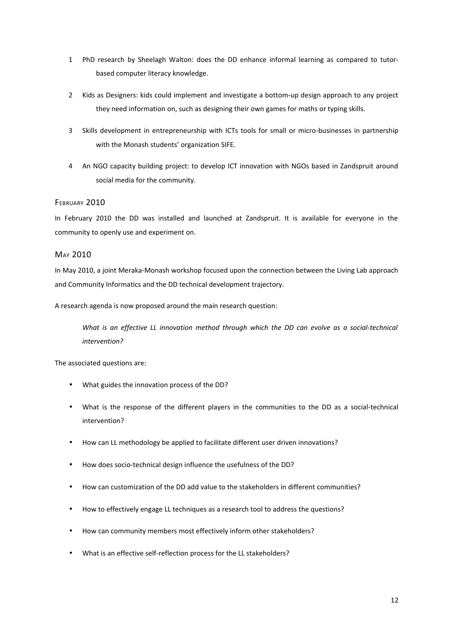- 1 PhD research by Sheelagh Walton: does the DD enhance informal learning as compared to tutorbased computer literacy knowledge.
- 2 Kids as Designers: kids could implement and investigate a bottom-up design approach to any project they need information on, such as designing their own games for maths or typing skills.
- 3 Skills development in entrepreneurship with ICTs tools for small or micro-businesses in partnership with the Monash students' organization SIFE.
- 4 An NGO capacity building project: to develop ICT innovation with NGOs based in Zandspruit around social media for the community.

#### FEBRUARY 2010

In February 2010 the DD was installed and launched at Zandspruit. It is available for everyone in the community to openly use and experiment on.

#### MAY 2010

In May 2010, a joint Meraka-Monash workshop focused upon the connection between the Living Lab approach and Community Informatics and the DD technical development trajectory.

A research agenda is now proposed around the main research question:

*What is an effective LL innovation method through which the DD can evolve as a social-technical intervention?* 

The associated questions are:

- What guides the innovation process of the DD?
- What is the response of the different players in the communities to the DD as a social-technical intervention?
- How can LL methodology be applied to facilitate different user driven innovations?
- How does socio-technical design influence the usefulness of the DD?
- How can customization of the DD add value to the stakeholders in different communities?
- How to effectively engage LL techniques as a research tool to address the questions?
- How can community members most effectively inform other stakeholders?
- What is an effective self-reflection process for the LL stakeholders?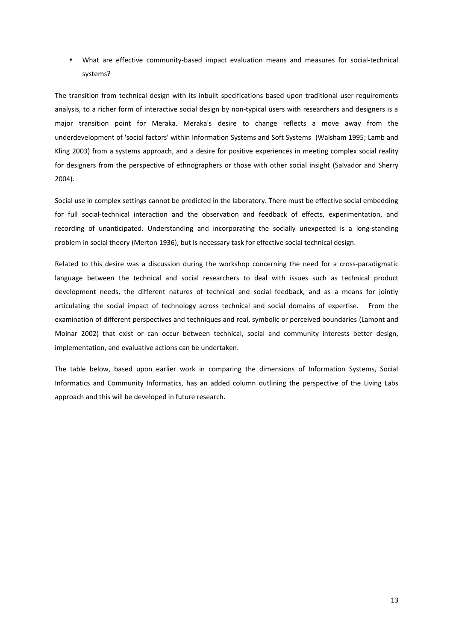• What are effective community-based impact evaluation means and measures for social-technical systems?

The transition from technical design with its inbuilt specifications based upon traditional user-requirements analysis, to a richer form of interactive social design by non-typical users with researchers and designers is a major transition point for Meraka. Meraka's desire to change reflects a move away from the underdevelopment of 'social factors' within Information Systems and Soft Systems (Walsham 1995; Lamb and Kling 2003) from a systems approach, and a desire for positive experiences in meeting complex social reality for designers from the perspective of ethnographers or those with other social insight (Salvador and Sherry 2004).

Social use in complex settings cannot be predicted in the laboratory. There must be effective social embedding for full social-technical interaction and the observation and feedback of effects, experimentation, and recording of unanticipated. Understanding and incorporating the socially unexpected is a long-standing problem in social theory (Merton 1936), but is necessary task for effective social technical design.

Related to this desire was a discussion during the workshop concerning the need for a cross-paradigmatic language between the technical and social researchers to deal with issues such as technical product development needs, the different natures of technical and social feedback, and as a means for jointly articulating the social impact of technology across technical and social domains of expertise. From the examination of different perspectives and techniques and real, symbolic or perceived boundaries (Lamont and Molnar 2002) that exist or can occur between technical, social and community interests better design, implementation, and evaluative actions can be undertaken.

The table below, based upon earlier work in comparing the dimensions of Information Systems, Social Informatics and Community Informatics, has an added column outlining the perspective of the Living Labs approach and this will be developed in future research.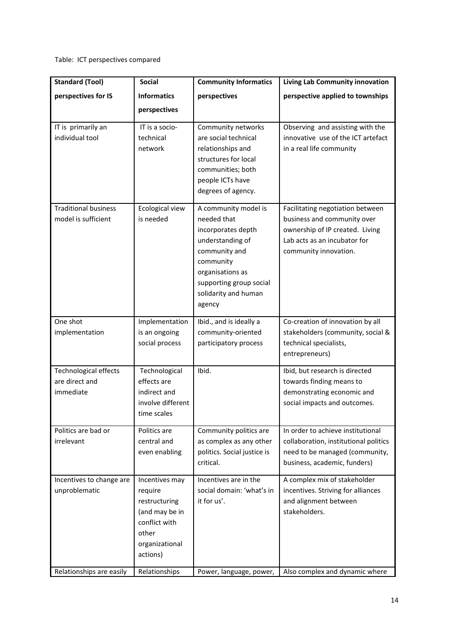## Table: ICT perspectives compared

| <b>Standard (Tool)</b>                               | <b>Social</b>                                                                                                        | <b>Community Informatics</b>                                                                                                                                                                 | Living Lab Community innovation                                                                                                                             |
|------------------------------------------------------|----------------------------------------------------------------------------------------------------------------------|----------------------------------------------------------------------------------------------------------------------------------------------------------------------------------------------|-------------------------------------------------------------------------------------------------------------------------------------------------------------|
| perspectives for IS                                  | <b>Informatics</b>                                                                                                   | perspectives                                                                                                                                                                                 | perspective applied to townships                                                                                                                            |
|                                                      | perspectives                                                                                                         |                                                                                                                                                                                              |                                                                                                                                                             |
| IT is primarily an<br>individual tool                | IT is a socio-<br>technical<br>network                                                                               | Community networks<br>are social technical<br>relationships and<br>structures for local<br>communities; both<br>people ICTs have<br>degrees of agency.                                       | Observing and assisting with the<br>innovative use of the ICT artefact<br>in a real life community                                                          |
| <b>Traditional business</b><br>model is sufficient   | Ecological view<br>is needed                                                                                         | A community model is<br>needed that<br>incorporates depth<br>understanding of<br>community and<br>community<br>organisations as<br>supporting group social<br>solidarity and human<br>agency | Facilitating negotiation between<br>business and community over<br>ownership of IP created. Living<br>Lab acts as an incubator for<br>community innovation. |
| One shot<br>implementation                           | Implementation<br>is an ongoing<br>social process                                                                    | Ibid., and is ideally a<br>community-oriented<br>participatory process                                                                                                                       | Co-creation of innovation by all<br>stakeholders (community, social &<br>technical specialists,<br>entrepreneurs)                                           |
| Technological effects<br>are direct and<br>immediate | Technological<br>effects are<br>indirect and<br>involve different<br>time scales                                     | Ibid.                                                                                                                                                                                        | Ibid, but research is directed<br>towards finding means to<br>demonstrating economic and<br>social impacts and outcomes.                                    |
| Politics are bad or<br>irrelevant                    | Politics are<br>central and<br>even enabling                                                                         | Community politics are<br>as complex as any other<br>politics. Social justice is<br>critical.                                                                                                | In order to achieve institutional<br>collaboration, institutional politics<br>need to be managed (community,<br>business, academic, funders)                |
| Incentives to change are<br>unproblematic            | Incentives may<br>require<br>restructuring<br>(and may be in<br>conflict with<br>other<br>organizational<br>actions) | Incentives are in the<br>social domain: 'what's in<br>it for us'.                                                                                                                            | A complex mix of stakeholder<br>incentives. Striving for alliances<br>and alignment between<br>stakeholders.                                                |
| Relationships are easily                             | Relationships                                                                                                        | Power, language, power,                                                                                                                                                                      | Also complex and dynamic where                                                                                                                              |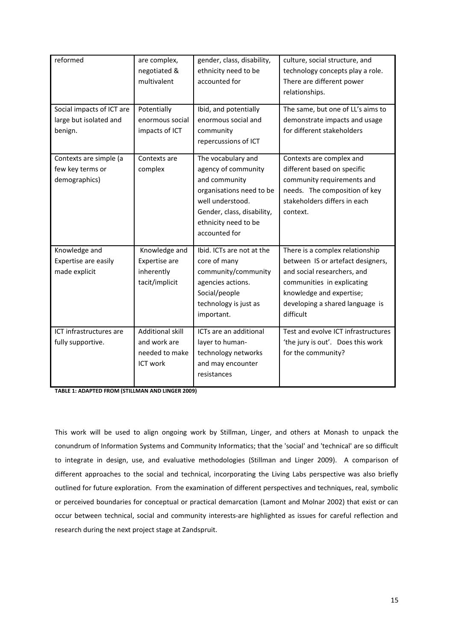| reformed                                                       | are complex,<br>negotiated &<br>multivalent                           | gender, class, disability,<br>ethnicity need to be<br>accounted for                                                                                                               | culture, social structure, and<br>technology concepts play a role.<br>There are different power<br>relationships.                                                                                             |
|----------------------------------------------------------------|-----------------------------------------------------------------------|-----------------------------------------------------------------------------------------------------------------------------------------------------------------------------------|---------------------------------------------------------------------------------------------------------------------------------------------------------------------------------------------------------------|
| Social impacts of ICT are<br>large but isolated and<br>benign. | Potentially<br>enormous social<br>impacts of ICT                      | Ibid, and potentially<br>enormous social and<br>community<br>repercussions of ICT                                                                                                 | The same, but one of LL's aims to<br>demonstrate impacts and usage<br>for different stakeholders                                                                                                              |
| Contexts are simple (a<br>few key terms or<br>demographics)    | Contexts are<br>complex                                               | The vocabulary and<br>agency of community<br>and community<br>organisations need to be<br>well understood.<br>Gender, class, disability,<br>ethnicity need to be<br>accounted for | Contexts are complex and<br>different based on specific<br>community requirements and<br>needs. The composition of key<br>stakeholders differs in each<br>context.                                            |
| Knowledge and<br>Expertise are easily<br>made explicit         | Knowledge and<br>Expertise are<br>inherently<br>tacit/implicit        | Ibid. ICTs are not at the<br>core of many<br>community/community<br>agencies actions.<br>Social/people<br>technology is just as<br>important.                                     | There is a complex relationship<br>between IS or artefact designers,<br>and social researchers, and<br>communities in explicating<br>knowledge and expertise;<br>developing a shared language is<br>difficult |
| ICT infrastructures are<br>fully supportive.                   | <b>Additional skill</b><br>and work are<br>needed to make<br>ICT work | ICTs are an additional<br>layer to human-<br>technology networks<br>and may encounter<br>resistances                                                                              | Test and evolve ICT infrastructures<br>'the jury is out'. Does this work<br>for the community?                                                                                                                |

**TABLE 1: ADAPTED FROM (STILLMAN AND LINGER 2009)**

This work will be used to align ongoing work by Stillman, Linger, and others at Monash to unpack the conundrum of Information Systems and Community Informatics; that the 'social' and 'technical' are so difficult to integrate in design, use, and evaluative methodologies (Stillman and Linger 2009). A comparison of different approaches to the social and technical, incorporating the Living Labs perspective was also briefly outlined for future exploration. From the examination of different perspectives and techniques, real, symbolic or perceived boundaries for conceptual or practical demarcation (Lamont and Molnar 2002) that exist or can occur between technical, social and community interests-are highlighted as issues for careful reflection and research during the next project stage at Zandspruit.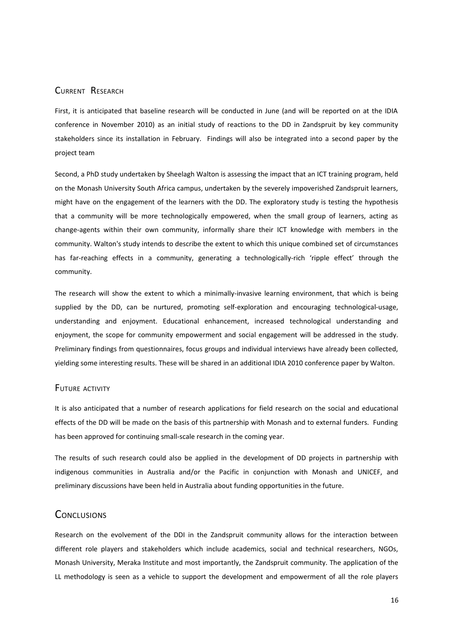#### CURRENT RESEARCH

First, it is anticipated that baseline research will be conducted in June (and will be reported on at the IDIA conference in November 2010) as an initial study of reactions to the DD in Zandspruit by key community stakeholders since its installation in February. Findings will also be integrated into a second paper by the project team

Second, a PhD study undertaken by Sheelagh Walton is assessing the impact that an ICT training program, held on the Monash University South Africa campus, undertaken by the severely impoverished Zandspruit learners, might have on the engagement of the learners with the DD. The exploratory study is testing the hypothesis that a community will be more technologically empowered, when the small group of learners, acting as change-agents within their own community, informally share their ICT knowledge with members in the community. Walton's study intends to describe the extent to which this unique combined set of circumstances has far-reaching effects in a community, generating a technologically-rich 'ripple effect' through the community.

The research will show the extent to which a minimally-invasive learning environment, that which is being supplied by the DD, can be nurtured, promoting self-exploration and encouraging technological-usage, understanding and enjoyment. Educational enhancement, increased technological understanding and enjoyment, the scope for community empowerment and social engagement will be addressed in the study. Preliminary findings from questionnaires, focus groups and individual interviews have already been collected, yielding some interesting results. These will be shared in an additional IDIA 2010 conference paper by Walton.

#### FUTURE ACTIVITY

It is also anticipated that a number of research applications for field research on the social and educational effects of the DD will be made on the basis of this partnership with Monash and to external funders. Funding has been approved for continuing small-scale research in the coming year.

The results of such research could also be applied in the development of DD projects in partnership with indigenous communities in Australia and/or the Pacific in conjunction with Monash and UNICEF, and preliminary discussions have been held in Australia about funding opportunities in the future.

### **CONCLUSIONS**

Research on the evolvement of the DDI in the Zandspruit community allows for the interaction between different role players and stakeholders which include academics, social and technical researchers, NGOs, Monash University, Meraka Institute and most importantly, the Zandspruit community. The application of the LL methodology is seen as a vehicle to support the development and empowerment of all the role players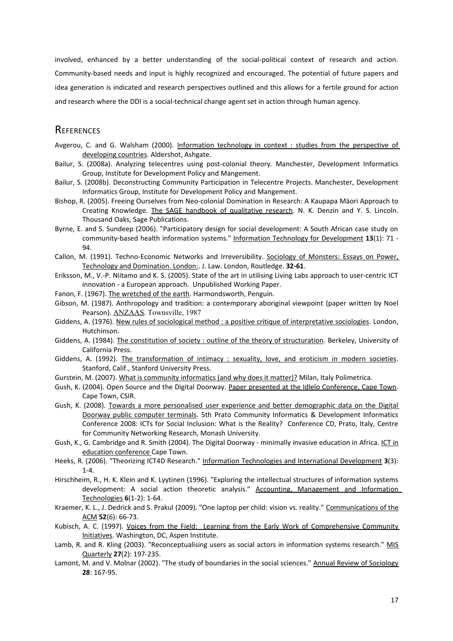involved, enhanced by a better understanding of the social-political context of research and action. Community-based needs and input is highly recognized and encouraged. The potential of future papers and idea generation is indicated and research perspectives outlined and this allows for a fertile ground for action and research where the DDI is a social-technical change agent set in action through human agency.

## **REFERENCES**

- Avgerou, C. and G. Walsham (2000). Information technology in context : studies from the perspective of developing countries. Aldershot, Ashgate.
- Bailur, S. (2008a). Analyzing telecentres using post-colonial theory. Manchester, Development Informatics Group, Institute for Development Policy and Mangement.
- Bailur, S. (2008b). Deconstructing Community Participation in Telecentre Projects. Manchester, Development Informatics Group, Institute for Development Policy and Mangement.
- Bishop, R. (2005). Freeing Ourselves from Neo-colonial Domination in Research: A Kaupapa Mäori Approach to Creating Knowledge. The SAGE handbook of qualitative research. N. K. Denzin and Y. S. Lincoln. Thousand Oaks, Sage Publications.
- Byrne, E. and S. Sundeep (2006). "Participatory design for social development: A South African case study on community-based health information systems." Information Technology for Development **13**(1): 71 - 94.
- Callon, M. (1991). Techno-Economic Networks and Irreversibility. Sociology of Monsters: Essays on Power, Technology and Domination. London:. J. Law. London, Routledge. **32-61**.
- Eriksson, M., V.-P. Niitamo and K. S. (2005). State of the art in utilising Living Labs approach to user-centric ICT innovation - a European approach. Unpublished Working Paper.
- Fanon, F. (1967). The wretched of the earth. Harmondsworth, Penguin.
- Gibson, M. (1987). Anthropology and tradition: a contemporary aboriginal viewpoint (paper written by Noel Pearson). ANZAAS. Townsville, 1987
- Giddens, A. (1976). New rules of sociological method : a positive critique of interpretative sociologies. London, Hutchinson.
- Giddens, A. (1984). The constitution of society : outline of the theory of structuration. Berkeley, University of California Press.
- Giddens, A. (1992). The transformation of intimacy : sexuality, love, and eroticism in modern societies. Stanford, Calif., Stanford University Press.
- Gurstein, M. (2007). What is community informatics (and why does it matter)? Milan, Italy Polimetrica.
- Gush, K. (2004). Open Source and the Digital Doorway. Paper presented at the Idlelo Conference, Cape Town. Cape Town, CSIR.
- Gush, K. (2008). Towards a more personalised user experience and better demographic data on the Digital Doorway public computer terminals. 5th Prato Community Informatics & Development Informatics Conference 2008: ICTs for Social Inclusion: What is the Reality? Conference CD, Prato, Italy, Centre for Community Networking Research, Monash University.
- Gush, K., G. Cambridge and R. Smith (2004). The Digital Doorway minimally invasive education in Africa. ICT in education conference Cape Town.
- Heeks, R. (2006). "Theorizing ICT4D Research." Information Technologies and International Development **3**(3): 1-4.
- Hirschheim, R., H. K. Klein and K. Lyytinen (1996). "Exploring the intellectual structures of information systems development: A social action theoretic analysis." Accounting, Management and Information Technologies **6**(1-2): 1-64.
- Kraemer, K. L., J. Dedrick and S. Prakul (2009). "One laptop per child: vision vs. reality." Communications of the ACM **52**(6): 66-73.
- Kubisch, A. C. (1997). Voices from the Field: Learning from the Early Work of Comprehensive Community Initiatives. Washington, DC, Aspen Institute.
- Lamb, R. and R. Kling (2003). "Reconceptualising users as social actors in information systems research." MIS Quarterly **27**(2): 197-235.
- Lamont, M. and V. Molnar (2002). "The study of boundaries in the social sciences." Annual Review of Sociology **28**: 167-95.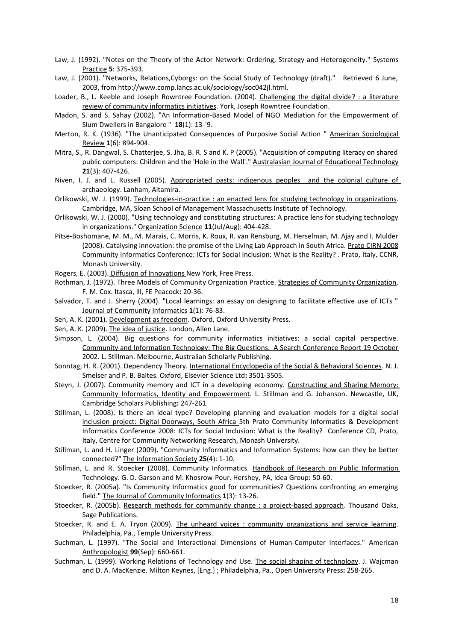- Law, J. (1992). "Notes on the Theory of the Actor Network: Ordering, Strategy and Heterogeneity." Systems Practice **5**: 375-393.
- Law, J. (2001). "Networks, Relations,Cyborgs: on the Social Study of Technology (draft)." Retrieved 6 June, 2003, from http://www.comp.lancs.ac.uk/sociology/soc042jl.html.
- Loader, B., L. Keeble and Joseph Rowntree Foundation. (2004). Challenging the digital divide? : a literature review of community informatics initiatives. York, Joseph Rowntree Foundation.
- Madon, S. and S. Sahay (2002). "An Information-Based Model of NGO Mediation for the Empowerment of Slum Dwellers in Bangalore " **18**(1): 13-`9.
- Merton, R. K. (1936). "The Unanticipated Consequences of Purposive Social Action " American Sociological Review **1**(6): 894-904.
- Mitra, S., R. Dangwal, S. Chatterjee, S. Jha, B. R. S and K. P (2005). "Acquisition of computing literacy on shared public computers: Children and the 'Hole in the Wall'." Australasian Journal of Educational Technology **21**(3): 407-426.
- Niven, I. J. and L. Russell (2005). Appropriated pasts: indigenous peoples and the colonial culture of archaeology. Lanham, Altamira.
- Orlikowski, W. J. (1999). Technologies-in-practice : an enacted lens for studying technology in organizations. Cambridge, MA, Sloan School of Management Massachusetts Institute of Technology.
- Orlikowski, W. J. (2000). "Using technology and constituting structures: A practice lens for studying technology in organizations." Organization Science **11**(Jul/Aug): 404-428.
- Pitse-Boshomane, M. M., M. Marais, C. Morris, K. Roux, R. van Rensburg, M. Herselman, M. Ajay and I. Mulder (2008). Catalysing innovation: the promise of the Living Lab Approach in South Africa. Prato CIRN 2008 Community Informatics Conference: ICTs for Social Inclusion: What is the Reality? . Prato, Italy, CCNR, Monash University.
- Rogers, E. (2003). Diffusion of Innovations New York, Free Press.
- Rothman, J. (1972). Three Models of Community Organization Practice. Strategies of Community Organization. F. M. Cox. Itasca, Ill, FE Peacock**:** 20-36.
- Salvador, T. and J. Sherry (2004). "Local learnings: an essay on designing to facilitate effective use of ICTs " Journal of Community Informatics **1**(1): 76-83.
- Sen, A. K. (2001). Development as freedom. Oxford, Oxford University Press.
- Sen, A. K. (2009). The idea of justice. London, Allen Lane.
- Simpson, L. (2004). Big questions for community informatics initiatives: a social capital perspective. Community and Information Technology: The Big Questions. A Search Conference Report 19 October 2002. L. Stillman. Melbourne, Australian Scholarly Publishing.
- Sonntag, H. R. (2001). Dependency Theory. International Encyclopedia of the Social & Behavioral Sciences. N. J. Smelser and P. B. Baltes. Oxford, Elsevier Science Ltd**:** 3501-3505.
- Steyn, J. (2007). Community memory and ICT in a developing economy. Constructing and Sharing Memory: Community Informatics, Identity and Empowerment. L. Stillman and G. Johanson. Newcastle, UK, Cambridge Scholars Publishing**:** 247-261.
- Stillman, L. (2008). Is there an ideal type? Developing planning and evaluation models for a digital social inclusion project: Digital Doorways, South Africa 5th Prato Community Informatics & Development Informatics Conference 2008: ICTs for Social Inclusion: What is the Reality? Conference CD, Prato, Italy, Centre for Community Networking Research, Monash University.
- Stillman, L. and H. Linger (2009). "Community Informatics and Information Systems: how can they be better connected?" The Information Society **25**(4): 1-10.
- Stillman, L. and R. Stoecker (2008). Community Informatics. Handbook of Research on Public Information Technology. G. D. Garson and M. Khosrow-Pour. Hershey, PA, Idea Group**:** 50-60.
- Stoecker, R. (2005a). "Is Community Informatics good for communities? Questions confronting an emerging field." The Journal of Community Informatics **1**(3): 13-26.
- Stoecker, R. (2005b). Research methods for community change : a project-based approach. Thousand Oaks, Sage Publications.
- Stoecker, R. and E. A. Tryon (2009). The unheard voices : community organizations and service learning. Philadelphia, Pa., Temple University Press.
- Suchman, L. (1997). "The Social and Interactional Dimensions of Human-Computer Interfaces." American Anthropologist **99**(Sep): 660-661.
- Suchman, L. (1999). Working Relations of Technology and Use. The social shaping of technology. J. Wajcman and D. A. MacKenzie. Milton Keynes, [Eng.] ; Philadelphia, Pa., Open University Press**:** 258-265.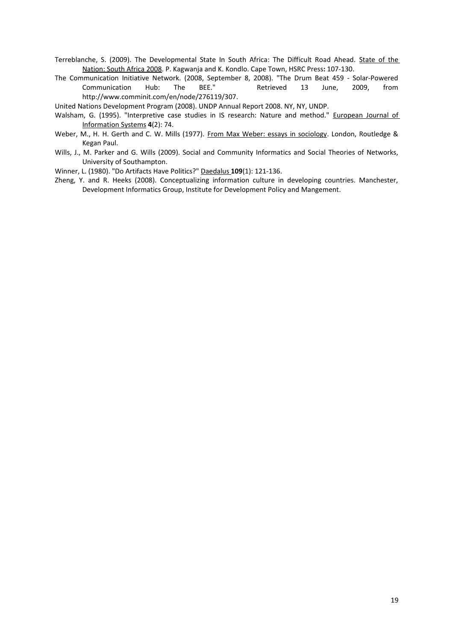- Terreblanche, S. (2009). The Developmental State In South Africa: The Difficult Road Ahead. State of the Nation: South Africa 2008. P. Kagwanja and K. Kondlo. Cape Town, HSRC Press**:** 107-130.
- The Communication Initiative Network. (2008, September 8, 2008). "The Drum Beat 459 Solar-Powered Communication Hub: The BEE." Retrieved 13 June, 2009, from http://www.comminit.com/en/node/276119/307.

United Nations Development Program (2008). UNDP Annual Report 2008. NY, NY, UNDP.

- Walsham, G. (1995). "Interpretive case studies in IS research: Nature and method." European Journal of Information Systems **4**(2): 74.
- Weber, M., H. H. Gerth and C. W. Mills (1977). From Max Weber: essays in sociology. London, Routledge & Kegan Paul.
- Wills, J., M. Parker and G. Wills (2009). Social and Community Informatics and Social Theories of Networks, University of Southampton.
- Winner, L. (1980). "Do Artifacts Have Politics?" Daedalus **109**(1): 121-136.
- Zheng, Y. and R. Heeks (2008). Conceptualizing information culture in developing countries. Manchester, Development Informatics Group, Institute for Development Policy and Mangement.